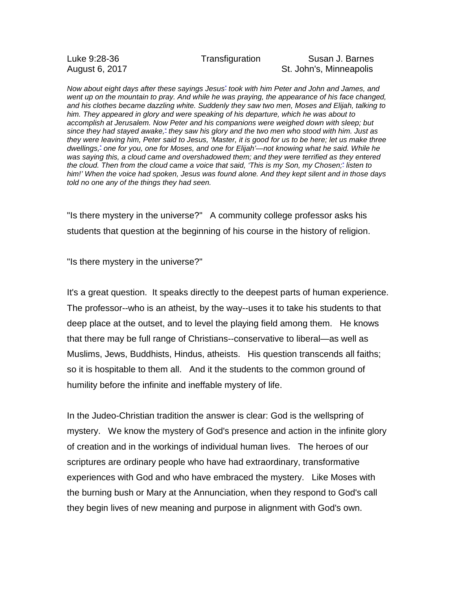## Luke 9:28-36 Transfiguration Susan J. Barnes August 6, 2017 **St. John's, Minneapolis**

*Now about eight days after these sayings Jesus\* took with him Peter and John and James, and went up on the mountain to pray. And while he was praying, the appearance of his face changed, and his clothes became dazzling white. Suddenly they saw two men, Moses and Elijah, talking to him. They appeared in glory and were speaking of his departure, which he was about to accomplish at Jerusalem. Now Peter and his companions were weighed down with sleep; but* since they had stayed awake,\* they saw his glory and the two men who stood with him. Just as they were leaving him. Peter said to Jesus, 'Master, it is good for us to be here; let us make three *dwellings,\* one for you, one for Moses, and one for Elijah'—not knowing what he said. While he was saying this, a cloud came and overshadowed them; and they were terrified as they entered* the cloud. Then from the cloud came a voice that said, 'This is my Son, my Chosen;<sup>\*</sup> listen to *him!' When the voice had spoken, Jesus was found alone. And they kept silent and in those days told no one any of the things they had seen.*

"Is there mystery in the universe?" A community college professor asks his students that question at the beginning of his course in the history of religion.

"Is there mystery in the universe?"

It's a great question. It speaks directly to the deepest parts of human experience. The professor--who is an atheist, by the way--uses it to take his students to that deep place at the outset, and to level the playing field among them. He knows that there may be full range of Christians--conservative to liberal—as well as Muslims, Jews, Buddhists, Hindus, atheists. His question transcends all faiths; so it is hospitable to them all. And it the students to the common ground of humility before the infinite and ineffable mystery of life.

In the Judeo-Christian tradition the answer is clear: God is the wellspring of mystery. We know the mystery of God's presence and action in the infinite glory of creation and in the workings of individual human lives. The heroes of our scriptures are ordinary people who have had extraordinary, transformative experiences with God and who have embraced the mystery. Like Moses with the burning bush or Mary at the Annunciation, when they respond to God's call they begin lives of new meaning and purpose in alignment with God's own.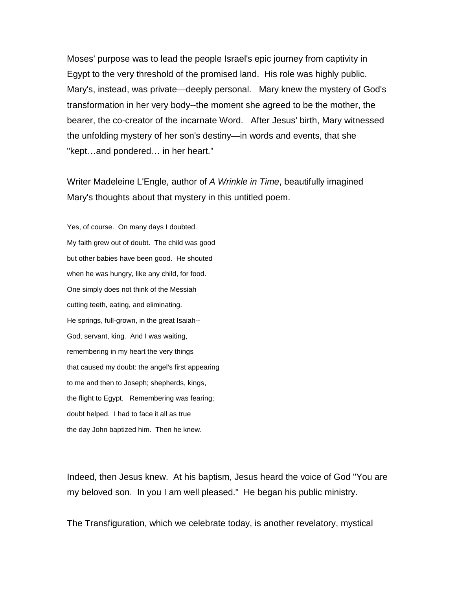Moses' purpose was to lead the people Israel's epic journey from captivity in Egypt to the very threshold of the promised land. His role was highly public. Mary's, instead, was private—deeply personal. Mary knew the mystery of God's transformation in her very body--the moment she agreed to be the mother, the bearer, the co-creator of the incarnate Word. After Jesus' birth, Mary witnessed the unfolding mystery of her son's destiny—in words and events, that she "kept…and pondered… in her heart."

Writer Madeleine L'Engle, author of *A Wrinkle in Time*, beautifully imagined Mary's thoughts about that mystery in this untitled poem.

Yes, of course. On many days I doubted. My faith grew out of doubt. The child was good but other babies have been good. He shouted when he was hungry, like any child, for food. One simply does not think of the Messiah cutting teeth, eating, and eliminating. He springs, full-grown, in the great Isaiah-- God, servant, king. And I was waiting, remembering in my heart the very things that caused my doubt: the angel's first appearing to me and then to Joseph; shepherds, kings, the flight to Egypt. Remembering was fearing; doubt helped. I had to face it all as true the day John baptized him. Then he knew.

Indeed, then Jesus knew. At his baptism, Jesus heard the voice of God "You are my beloved son. In you I am well pleased." He began his public ministry.

The Transfiguration, which we celebrate today, is another revelatory, mystical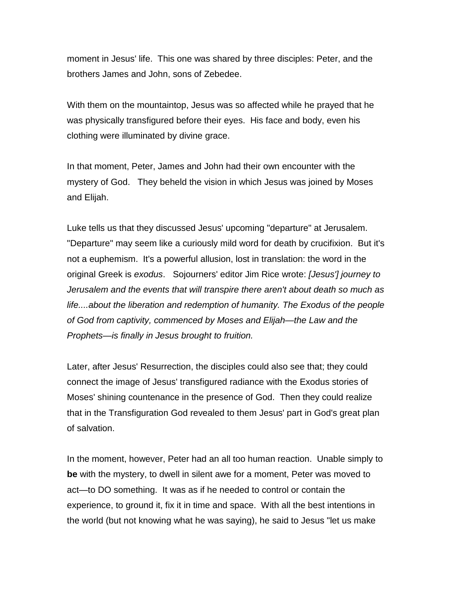moment in Jesus' life. This one was shared by three disciples: Peter, and the brothers James and John, sons of Zebedee.

With them on the mountaintop, Jesus was so affected while he prayed that he was physically transfigured before their eyes. His face and body, even his clothing were illuminated by divine grace.

In that moment, Peter, James and John had their own encounter with the mystery of God. They beheld the vision in which Jesus was joined by Moses and Elijah.

Luke tells us that they discussed Jesus' upcoming "departure" at Jerusalem. "Departure" may seem like a curiously mild word for death by crucifixion. But it's not a euphemism. It's a powerful allusion, lost in translation: the word in the original Greek is *exodus*. Sojourners' editor Jim Rice wrote: *[Jesus'] journey to Jerusalem and the events that will transpire there aren't about death so much as life....about the liberation and redemption of humanity. The Exodus of the people of God from captivity, commenced by Moses and Elijah—the Law and the Prophets—is finally in Jesus brought to fruition.*

Later, after Jesus' Resurrection, the disciples could also see that; they could connect the image of Jesus' transfigured radiance with the Exodus stories of Moses' shining countenance in the presence of God. Then they could realize that in the Transfiguration God revealed to them Jesus' part in God's great plan of salvation.

In the moment, however, Peter had an all too human reaction. Unable simply to **be** with the mystery, to dwell in silent awe for a moment, Peter was moved to act—to DO something. It was as if he needed to control or contain the experience, to ground it, fix it in time and space. With all the best intentions in the world (but not knowing what he was saying), he said to Jesus "let us make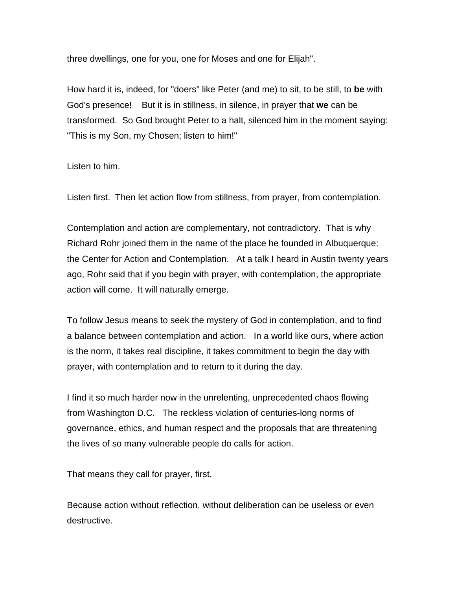three dwellings, one for you, one for Moses and one for Elijah".

How hard it is, indeed, for "doers" like Peter (and me) to sit, to be still, to **be** with God's presence! But it is in stillness, in silence, in prayer that **we** can be transformed. So God brought Peter to a halt, silenced him in the moment saying: "This is my Son, my Chosen; listen to him!"

Listen to him.

Listen first. Then let action flow from stillness, from prayer, from contemplation.

Contemplation and action are complementary, not contradictory. That is why Richard Rohr joined them in the name of the place he founded in Albuquerque: the Center for Action and Contemplation. At a talk I heard in Austin twenty years ago, Rohr said that if you begin with prayer, with contemplation, the appropriate action will come. It will naturally emerge.

To follow Jesus means to seek the mystery of God in contemplation, and to find a balance between contemplation and action. In a world like ours, where action is the norm, it takes real discipline, it takes commitment to begin the day with prayer, with contemplation and to return to it during the day.

I find it so much harder now in the unrelenting, unprecedented chaos flowing from Washington D.C. The reckless violation of centuries-long norms of governance, ethics, and human respect and the proposals that are threatening the lives of so many vulnerable people do calls for action.

That means they call for prayer, first.

Because action without reflection, without deliberation can be useless or even destructive.